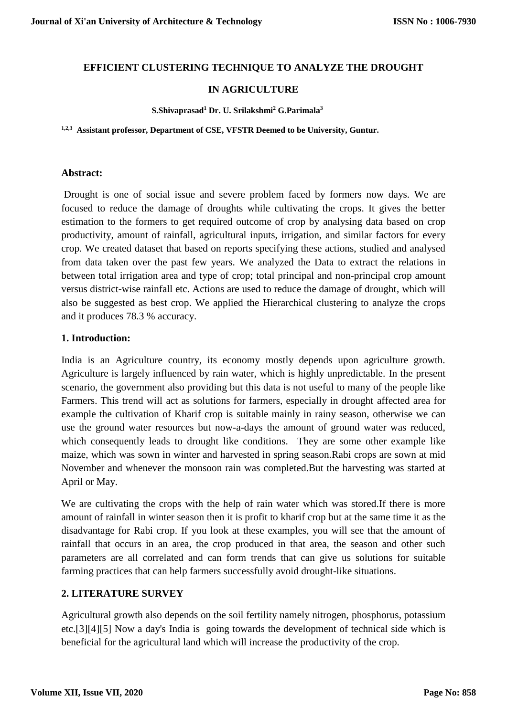## **EFFICIENT CLUSTERING TECHNIQUE TO ANALYZE THE DROUGHT**

## **IN AGRICULTURE**

#### **S.Shivaprasad<sup>1</sup> Dr. U. Srilakshmi<sup>2</sup> G.Parimala<sup>3</sup>**

**1,2,3 Assistant professor, Department of CSE, VFSTR Deemed to be University, Guntur.**

#### **Abstract:**

Drought is one of social issue and severe problem faced by formers now days. We are focused to reduce the damage of droughts while cultivating the crops. It gives the better estimation to the formers to get required outcome of crop by analysing data based on crop productivity, amount of rainfall, agricultural inputs, irrigation, and similar factors for every crop. We created dataset that based on reports specifying these actions, studied and analysed from data taken over the past few years. We analyzed the Data to extract the relations in between total irrigation area and type of crop; total principal and non-principal crop amount versus district-wise rainfall etc. Actions are used to reduce the damage of drought, which will also be suggested as best crop. We applied the Hierarchical clustering to analyze the crops and it produces 78.3 % accuracy.

#### **1. Introduction:**

India is an Agriculture country, its economy mostly depends upon agriculture growth. Agriculture is largely influenced by rain water, which is highly unpredictable. In the present scenario, the government also providing but this data is not useful to many of the people like Farmers. This trend will act as solutions for farmers, especially in drought affected area for example the cultivation of Kharif crop is suitable mainly in rainy season, otherwise we can use the ground water resources but now-a-days the amount of ground water was reduced, which consequently leads to drought like conditions. They are some other example like maize, which was sown in winter and harvested in spring season.Rabi crops are sown at mid November and whenever the monsoon rain was completed.But the harvesting was started at April or May.

We are cultivating the crops with the help of rain water which was stored.If there is more amount of rainfall in winter season then it is profit to kharif crop but at the same time it as the disadvantage for Rabi crop. If you look at these examples, you will see that the amount of rainfall that occurs in an area, the crop produced in that area, the season and other such parameters are all correlated and can form trends that can give us solutions for suitable farming practices that can help farmers successfully avoid drought-like situations.

#### **2. LITERATURE SURVEY**

Agricultural growth also depends on the soil fertility namely nitrogen, phosphorus, potassium etc.[3][4][5] Now a day's India is going towards the development of technical side which is beneficial for the agricultural land which will increase the productivity of the crop.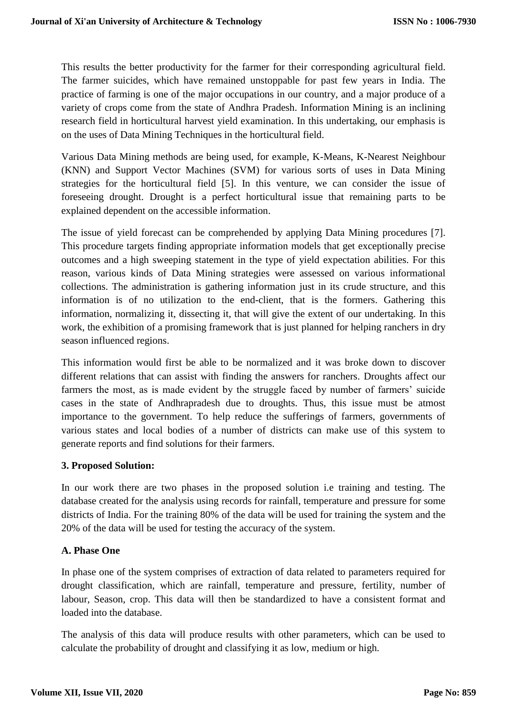This results the better productivity for the farmer for their corresponding agricultural field. The farmer suicides, which have remained unstoppable for past few years in India. The practice of farming is one of the major occupations in our country, and a major produce of a variety of crops come from the state of Andhra Pradesh. Information Mining is an inclining research field in horticultural harvest yield examination. In this undertaking, our emphasis is on the uses of Data Mining Techniques in the horticultural field.

Various Data Mining methods are being used, for example, K-Means, K-Nearest Neighbour (KNN) and Support Vector Machines (SVM) for various sorts of uses in Data Mining strategies for the horticultural field [5]. In this venture, we can consider the issue of foreseeing drought. Drought is a perfect horticultural issue that remaining parts to be explained dependent on the accessible information.

The issue of yield forecast can be comprehended by applying Data Mining procedures [7]. This procedure targets finding appropriate information models that get exceptionally precise outcomes and a high sweeping statement in the type of yield expectation abilities. For this reason, various kinds of Data Mining strategies were assessed on various informational collections. The administration is gathering information just in its crude structure, and this information is of no utilization to the end-client, that is the formers. Gathering this information, normalizing it, dissecting it, that will give the extent of our undertaking. In this work, the exhibition of a promising framework that is just planned for helping ranchers in dry season influenced regions.

This information would first be able to be normalized and it was broke down to discover different relations that can assist with finding the answers for ranchers. Droughts affect our farmers the most, as is made evident by the struggle faced by number of farmers' suicide cases in the state of Andhrapradesh due to droughts. Thus, this issue must be atmost importance to the government. To help reduce the sufferings of farmers, governments of various states and local bodies of a number of districts can make use of this system to generate reports and find solutions for their farmers.

#### **3. Proposed Solution:**

In our work there are two phases in the proposed solution i.e training and testing. The database created for the analysis using records for rainfall, temperature and pressure for some districts of India. For the training 80% of the data will be used for training the system and the 20% of the data will be used for testing the accuracy of the system.

# **A. Phase One**

In phase one of the system comprises of extraction of data related to parameters required for drought classification, which are rainfall, temperature and pressure, fertility, number of labour, Season, crop. This data will then be standardized to have a consistent format and loaded into the database.

The analysis of this data will produce results with other parameters, which can be used to calculate the probability of drought and classifying it as low, medium or high.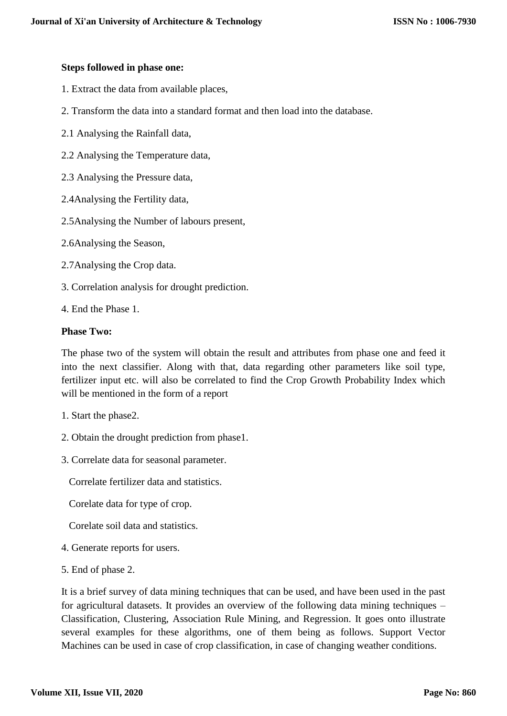#### **Steps followed in phase one:**

- 1. Extract the data from available places,
- 2. Transform the data into a standard format and then load into the database.
- 2.1 Analysing the Rainfall data,
- 2.2 Analysing the Temperature data,
- 2.3 Analysing the Pressure data,
- 2.4Analysing the Fertility data,
- 2.5Analysing the Number of labours present,
- 2.6Analysing the Season,
- 2.7Analysing the Crop data.
- 3. Correlation analysis for drought prediction.
- 4. End the Phase 1.

#### **Phase Two:**

The phase two of the system will obtain the result and attributes from phase one and feed it into the next classifier. Along with that, data regarding other parameters like soil type, fertilizer input etc. will also be correlated to find the Crop Growth Probability Index which will be mentioned in the form of a report

- 1. Start the phase2.
- 2. Obtain the drought prediction from phase1.
- 3. Correlate data for seasonal parameter.

Correlate fertilizer data and statistics.

Corelate data for type of crop.

Corelate soil data and statistics.

- 4. Generate reports for users.
- 5. End of phase 2.

It is a brief survey of data mining techniques that can be used, and have been used in the past for agricultural datasets. It provides an overview of the following data mining techniques – Classification, Clustering, Association Rule Mining, and Regression. It goes onto illustrate several examples for these algorithms, one of them being as follows. Support Vector Machines can be used in case of crop classification, in case of changing weather conditions.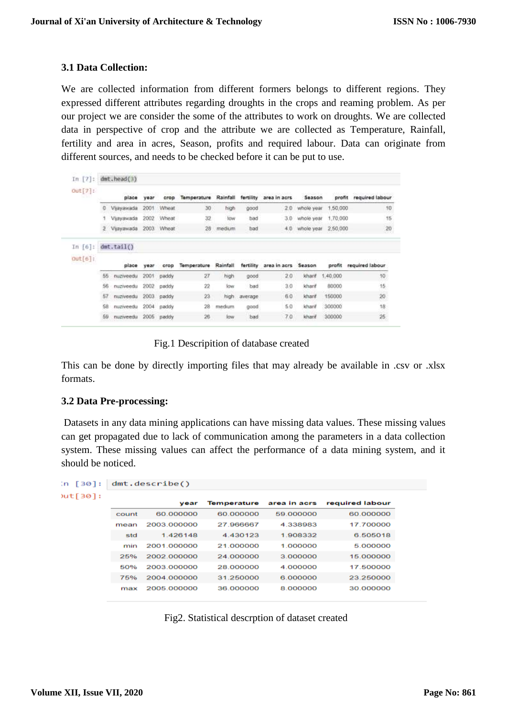#### **3.1 Data Collection:**

We are collected information from different formers belongs to different regions. They expressed different attributes regarding droughts in the crops and reaming problem. As per our project we are consider the some of the attributes to work on droughts. We are collected data in perspective of crop and the attribute we are collected as Temperature, Rainfall, fertility and area in acres, Season, profits and required labour. Data can originate from different sources, and needs to be checked before it can be put to use.

| In $[7]:$<br>$Out[7]$ : | dmt. head(3) |            |      |              |             |          |           |                     |            |          |                 |
|-------------------------|--------------|------------|------|--------------|-------------|----------|-----------|---------------------|------------|----------|-----------------|
|                         |              | place      | year | crop         | Temperature | Rainfall | fertility | area in acrs        | Season     | profit   | required labour |
|                         |              | Vljayawada | 2001 | Wheat        | 30          | high     | good      | 2.0                 | whole year | 1,50,000 | 10              |
|                         |              | Vijayawada | 2002 | Wheat        | 32          | tow      | bad       | 3.0                 | whole year | 1,70,000 | 15              |
|                         |              | Vijayawada |      | 2003 Wheat   | 28          | medium   | bad       | 4.0.1               | whole year | 2,50,000 | $20\,$          |
| In $[6]:$               |              | dmt.tail() |      |              |             |          |           |                     |            |          |                 |
| Out[6]                  |              | place      | vear | crop         | Temperature | Rainfall | fertility | area in acrs Season |            | profit   | required labour |
|                         | 55           | nuziveedu  |      | 2001 paddy   | ZI          | high     | good      | 2.0                 | kharif     | 1,40.000 | 10              |
|                         | 56           | nuziveedu  | 2002 | paddy        | 22          | low      | bad       | 3.0                 | kharif     | 80000    | 15 <sub>2</sub> |
|                         | 57           | nuziveedu  |      | $2003$ paddy | 23          | high.    | average   | 6.0                 | kharif     | 150000   | 20              |
|                         | 58           | nuziveedu  |      | 2004 paddy   | 28          | medium   | good      | 5.0                 | kharif     | 300000   | 18              |
|                         |              |            |      |              |             |          |           | 7.0                 | kharif     | 300000   | $25 \,$         |

Fig.1 Descripition of database created

This can be done by directly importing files that may already be available in .csv or .xlsx formats.

#### **3.2 Data Pre-processing:**

Datasets in any data mining applications can have missing data values. These missing values can get propagated due to lack of communication among the parameters in a data collection system. These missing values can affect the performance of a data mining system, and it should be noticed.

```
\left[30\right]: dmt.describe()
```

| ∗.l™ |  |
|------|--|
|      |  |

|       | vear        | Temperature | area in acrs | required labour |
|-------|-------------|-------------|--------------|-----------------|
| count | 60.000000   | 60,000000   | 59.000000    | 60.000000       |
| mean  | 2003.000000 | 27 966667   | 4338983      | 17 700000       |
| std   | 1.426148    | 4.430123    | 1.908332     | 6.505018        |
| min   | 2001.000000 | 21.000000   | 1.000000     | 5.000000        |
| 25%   | 2002.000000 | 24.000000   | 3.000000     | 15.000000       |
| 50%   | 2003.000000 | 28.000000   | 4.000000     | 17.500000       |
| 75%   | 2004.000000 | 31.250000   | 6.000000     | 23.250000       |
| max   | 2005.000000 | 36.000000   | 8.000000     | 30.000000       |

Fig2. Statistical descrption of dataset created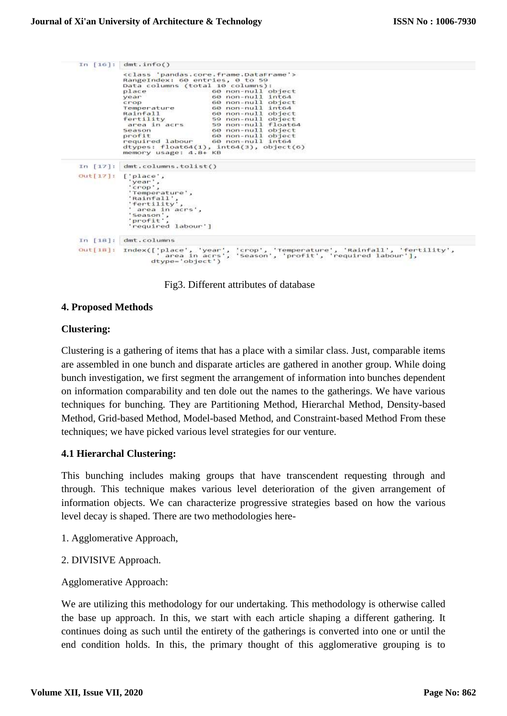```
In [16]: dmt.info()
                       xclass 'pandas.core.frame.DataFrame'><br>RangeIndex: 60 entries, 0 to 59<br>Data columns (total 10 columns):<br>place 60 non-null object<br>year 60 non-null object<br>crop<br>remperature 60 non-null object<br>Temperature 60 non-null int64
                        piace<br>year<br>crop<br>Temperature<br>Rainfall<br>fertility
                                                                      60 non-null int64
                                                                      00 non-null object<br>59 non-null object<br>59 non-null float64
                        fertlify<br>area in acrs<br>Season<br>profit
                                                                     60 non-null object<br>60 non-null object<br>60 non-null int64
                        required labour
                       dtypes: float64(1), i<br>memory usage: 4.8+ KB
                                                                        into4(3), object(6)In [17]: dmt.columns.tolist()
out[i7]: [phase','year'.<br>'crop',
                           'Temperature',
                            Rainfall
                            'Rainfall';<br>'fertility'<br>' area in a
                          rertility<br>'area in acrs',<br>'Season',<br>'profit',<br>'required labour']
 In [18]: dmt.columns
out[18]: Index(['place', 'year', 'crop', 'Temperature', 'Rainfall', 'fertility',<br>area in acrs', 'Season', 'profit', 'required labour'],<br>dtype='object')
```
Fig3. Different attributes of database

#### **4. Proposed Methods**

#### **Clustering:**

Clustering is a gathering of items that has a place with a similar class. Just, comparable items are assembled in one bunch and disparate articles are gathered in another group. While doing bunch investigation, we first segment the arrangement of information into bunches dependent on information comparability and ten dole out the names to the gatherings. We have various techniques for bunching. They are Partitioning Method, Hierarchal Method, Density-based Method, Grid-based Method, Model-based Method, and Constraint-based Method From these techniques; we have picked various level strategies for our venture.

#### **4.1 Hierarchal Clustering:**

This bunching includes making groups that have transcendent requesting through and through. This technique makes various level deterioration of the given arrangement of information objects. We can characterize progressive strategies based on how the various level decay is shaped. There are two methodologies here-

- 1. Agglomerative Approach,
- 2. DIVISIVE Approach.

Agglomerative Approach:

We are utilizing this methodology for our undertaking. This methodology is otherwise called the base up approach. In this, we start with each article shaping a different gathering. It continues doing as such until the entirety of the gatherings is converted into one or until the end condition holds. In this, the primary thought of this agglomerative grouping is to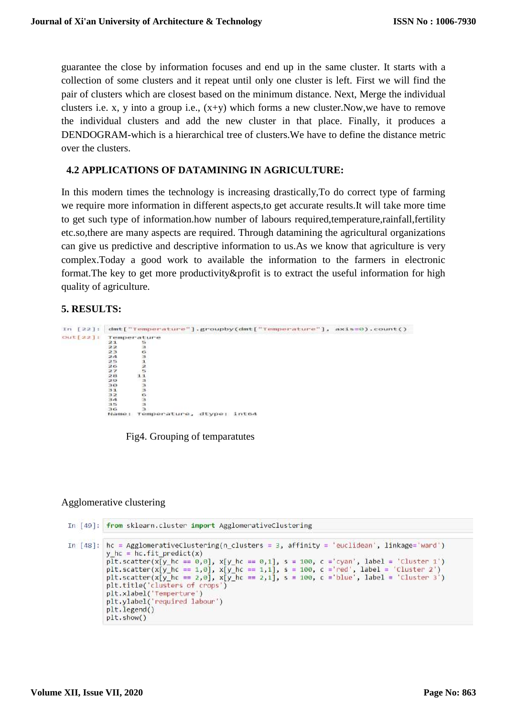guarantee the close by information focuses and end up in the same cluster. It starts with a collection of some clusters and it repeat until only one cluster is left. First we will find the pair of clusters which are closest based on the minimum distance. Next, Merge the individual clusters i.e. x, y into a group i.e.,  $(x+y)$  which forms a new cluster. Now, we have to remove the individual clusters and add the new cluster in that place. Finally, it produces a DENDOGRAM-which is a hierarchical tree of clusters.We have to define the distance metric over the clusters.

## **4.2 APPLICATIONS OF DATAMINING IN AGRICULTURE:**

In this modern times the technology is increasing drastically,To do correct type of farming we require more information in different aspects,to get accurate results.It will take more time to get such type of information.how number of labours required,temperature,rainfall,fertility etc.so,there are many aspects are required. Through datamining the agricultural organizations can give us predictive and descriptive information to us.As we know that agriculture is very complex.Today a good work to available the information to the farmers in electronic format.The key to get more productivity&profit is to extract the useful information for high quality of agriculture.

#### **5. RESULTS:**

```
In [22]: dmt["Temperature"].groupby(dmt["Temperature"], axis=0).count()
out[22]:
             Temperature
              21\frac{22}{23}ā
                       \frac{6}{3}\overline{2}a25HNP
             26
             281129inno
             \frac{30}{31}rac{32}{34}э
             7.5ь
             Name: Temperature, dtype: inte4
```
Fig4. Grouping of temparatutes

#### Agglomerative clustering

```
In [49]: from sklearn.cluster import AgglomerativeClustering
In [48]: hc = AgglomerativeClustering(n clusters = 3, affinity = 'euclidean', linkage='ward')
             y hc = hc.fit predict(x)
             p\overline{1}t.scatter(x[y_hc == 0,0], x[y_hc == 0,1], s = 100, c ='cyan', label = 'cluster 1')
             plt.scatter(x[y_hc == 1,0], x[y_hc == 1,1], s = 100, c ='red', label = 'cluster'2')<br>plt.scatter(x[y_hc == 2,0], x[y_hc == 2,1], s = 100, c ='blue', label = 'cluster'3')
             plt.title('clusters of crops')
             pit.trice( crusters of crops<br>plt.xlabel('Temperture')<br>plt.ylabel('required labour')
             plt.legend()
             plt.show()
```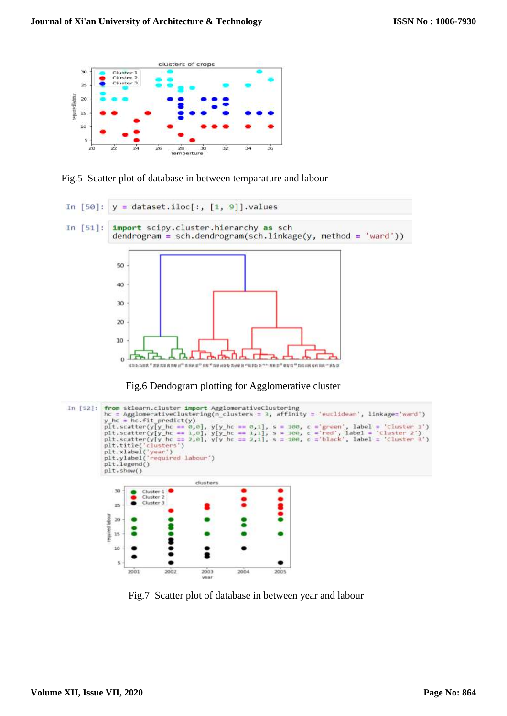

Fig.5 Scatter plot of database in between temparature and labour





Fig.7 Scatter plot of database in between year and labour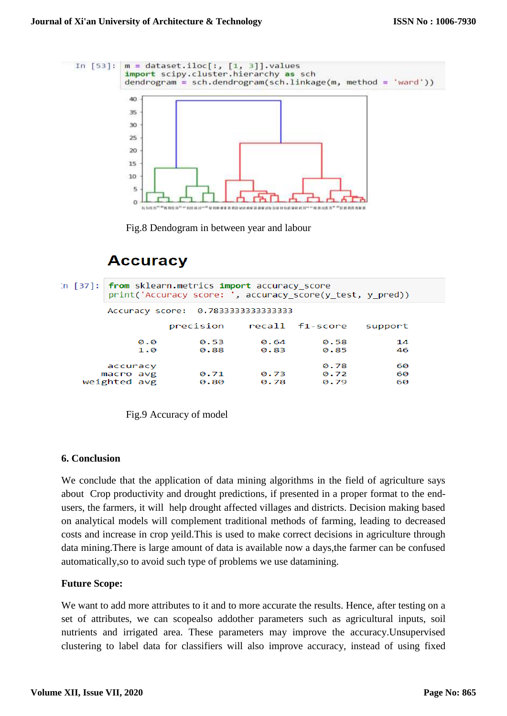

Fig.8 Dendogram in between year and labour

# **Accuracy**

| In $\lceil 37 \rceil$ :   from sklearn.metrics import accuracy score<br>print('Accuracy score: ', accuracy_score(y_test, y pred)) |              |              |                      |                |  |  |  |
|-----------------------------------------------------------------------------------------------------------------------------------|--------------|--------------|----------------------|----------------|--|--|--|
| Accuracy score: 0.7833333333333333                                                                                                |              |              |                      |                |  |  |  |
|                                                                                                                                   | precision    |              | recall f1-score      | support        |  |  |  |
| 0.0<br>1.0                                                                                                                        | 0.53<br>0.88 | 0.64<br>0.83 | 0.58<br>0.85         | 14<br>46       |  |  |  |
| accuracy<br>macro avg<br>weighted avg                                                                                             | 0.71<br>0.80 | 0.73<br>0.78 | 0.78<br>0.72<br>0.79 | 60<br>60<br>60 |  |  |  |

Fig.9 Accuracy of model

#### **6. Conclusion**

We conclude that the application of data mining algorithms in the field of agriculture says about Crop productivity and drought predictions, if presented in a proper format to the endusers, the farmers, it will help drought affected villages and districts. Decision making based on analytical models will complement traditional methods of farming, leading to decreased costs and increase in crop yeild.This is used to make correct decisions in agriculture through data mining.There is large amount of data is available now a days,the farmer can be confused automatically,so to avoid such type of problems we use datamining.

#### **Future Scope:**

We want to add more attributes to it and to more accurate the results. Hence, after testing on a set of attributes, we can scopealso addother parameters such as agricultural inputs, soil nutrients and irrigated area. These parameters may improve the accuracy.Unsupervised clustering to label data for classifiers will also improve accuracy, instead of using fixed